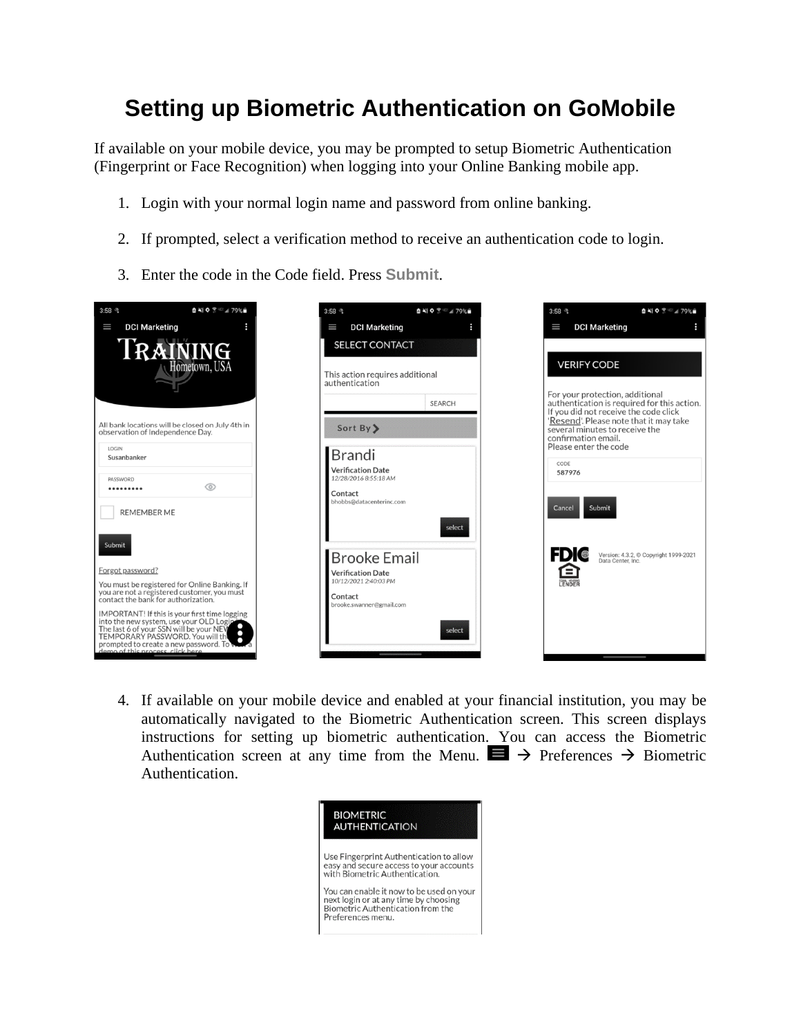## **Setting up Biometric Authentication on GoMobile**

If available on your mobile device, you may be prompted to setup Biometric Authentication (Fingerprint or Face Recognition) when logging into your Online Banking mobile app.

- 1. Login with your normal login name and password from online banking.
- 2. If prompted, select a verification method to receive an authentication code to login.
- 3. Enter the code in the Code field. Press **Submit**.



4. If available on your mobile device and enabled at your financial institution, you may be automatically navigated to the Biometric Authentication screen. This screen displays instructions for setting up biometric authentication. You can access the Biometric Authentication screen at any time from the Menu.  $\blacksquare$   $\rightarrow$  Preferences  $\rightarrow$  Biometric Authentication.

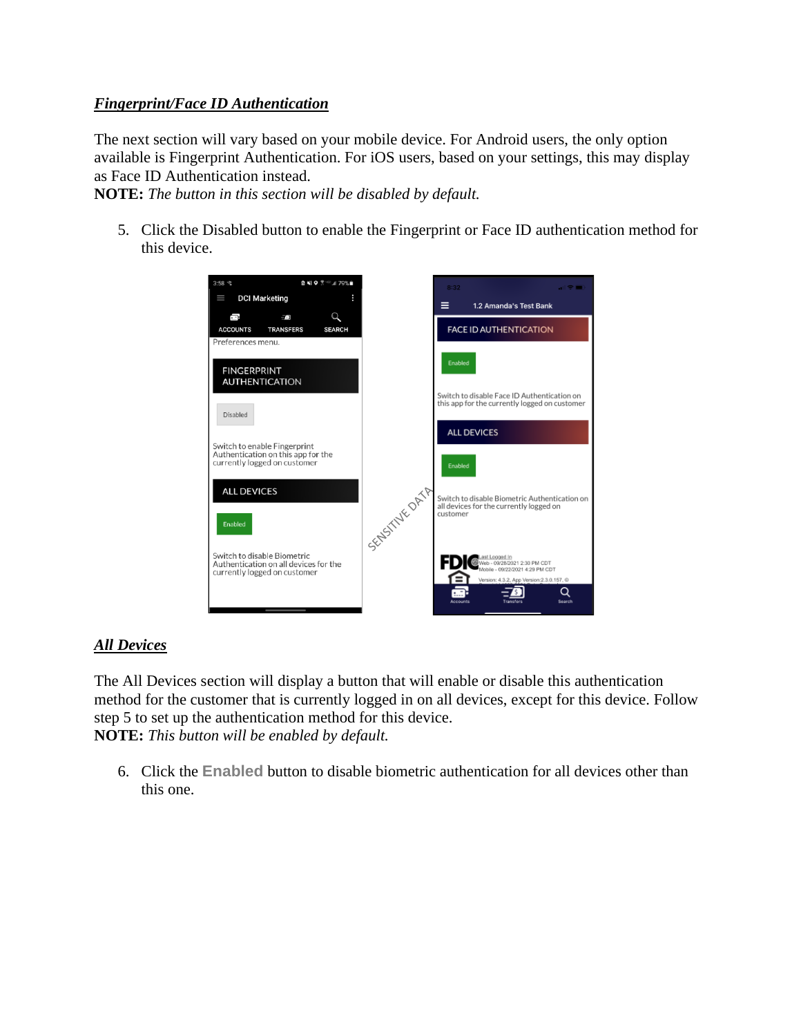## *Fingerprint/Face ID Authentication*

The next section will vary based on your mobile device. For Android users, the only option available is Fingerprint Authentication. For iOS users, based on your settings, this may display as Face ID Authentication instead.

**NOTE:** *The button in this section will be disabled by default.*

5. Click the Disabled button to enable the Fingerprint or Face ID authentication method for this device.



## *All Devices*

The All Devices section will display a button that will enable or disable this authentication method for the customer that is currently logged in on all devices, except for this device. Follow step 5 to set up the authentication method for this device. **NOTE:** *This button will be enabled by default.*

6. Click the **Enabled** button to disable biometric authentication for all devices other than this one.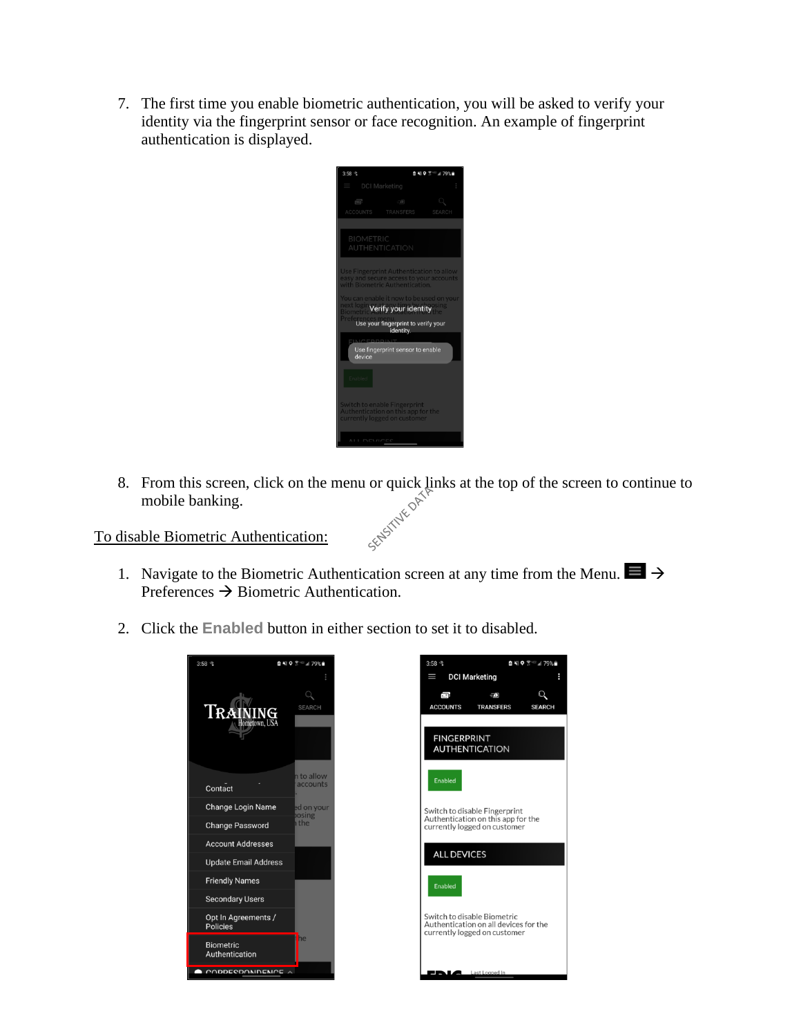7. The first time you enable biometric authentication, you will be asked to verify your identity via the fingerprint sensor or face recognition. An example of fingerprint authentication is displayed.



8. From this screen, click on the menu or quick links at the top of the screen to continue to mobile banking.<br>disable Biometric Authentication: mobile banking.

To disable Biometric Authentication:

- 1. Navigate to the Biometric Authentication screen at any time from the Menu.  $\blacksquare \rightarrow$ Preferences  $\rightarrow$  Biometric Authentication.
- 2. Click the **Enabled** button in either section to set it to disabled.